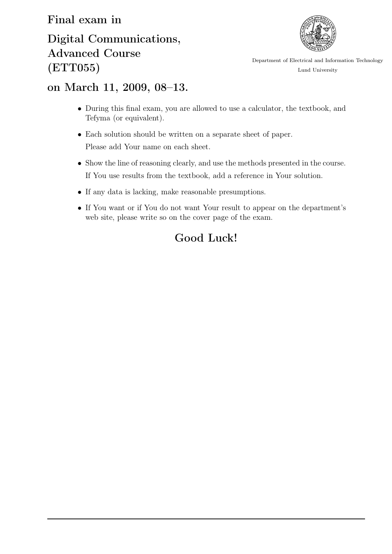## Final exam in

## Digital Communications, Advanced Course (ETT055)



Department of Electrical and Information Technology Lund University

## on March 11, 2009, 08–13.

- During this final exam, you are allowed to use a calculator, the textbook, and Tefyma (or equivalent).
- Each solution should be written on a separate sheet of paper. Please add Your name on each sheet.
- Show the line of reasoning clearly, and use the methods presented in the course. If You use results from the textbook, add a reference in Your solution.
- If any data is lacking, make reasonable presumptions.
- If You want or if You do not want Your result to appear on the department's web site, please write so on the cover page of the exam.

## Good Luck!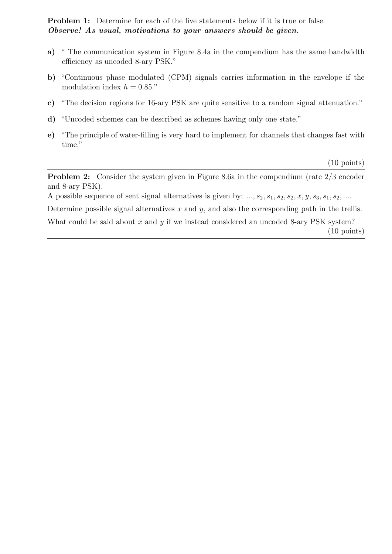Problem 1: Determine for each of the five statements below if it is true or false. *Observe! As usual, motivations to your answers should be given.*

- a) " The communication system in Figure 8.4a in the compendium has the same bandwidth efficiency as uncoded 8-ary PSK."
- b) "Continuous phase modulated (CPM) signals carries information in the envelope if the modulation index  $h = 0.85$ ."
- c) "The decision regions for 16-ary PSK are quite sensitive to a random signal attenuation."
- d) "Uncoded schemes can be described as schemes having only one state."
- e) "The principle of water-filling is very hard to implement for channels that changes fast with time."

(10 points)

Problem 2: Consider the system given in Figure 8.6a in the compendium (rate 2*/*3 encoder and 8-ary PSK).

A possible sequence of sent signal alternatives is given by:  $..., s_2, s_1, s_2, s_2, x, y, s_3, s_1, s_2, ...$ 

Determine possible signal alternatives *x* and *y*, and also the corresponding path in the trellis.

What could be said about *x* and *y* if we instead considered an uncoded 8-ary PSK system?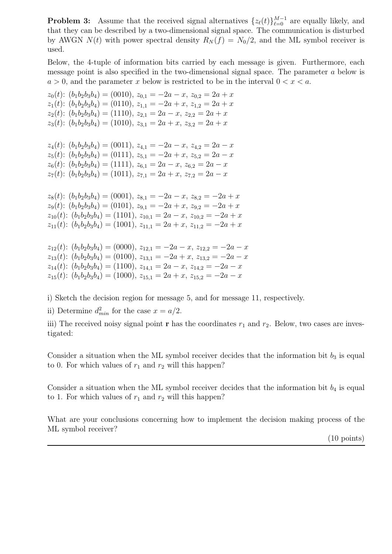**Problem 3:** Assume that the received signal alternatives  $\{z_{\ell}(t)\}_{\ell=0}^{M-1}$  are equally likely, and that they can be described by a two-dimensional signal space. The communication is disturbed by AWGN  $N(t)$  with power spectral density  $R_N(f) = N_0/2$ , and the ML symbol receiver is used.

Below, the 4-tuple of information bits carried by each message is given. Furthermore, each message point is also specified in the two-dimensional signal space. The parameter *a* below is  $a > 0$ , and the parameter *x* below is restricted to be in the interval  $0 < x < a$ .

 $z_0(t)$ :  $(b_1b_2b_3b_4) = (0010), z_{0,1} = -2a - x, z_{0,2} = 2a + x$  $z_1(t)$ :  $(b_1b_2b_3b_4) = (0110), z_{1,1} = -2a + x, z_{1,2} = 2a + x$  $z_2(t)$ :  $(b_1b_2b_3b_4) = (1110), z_{2,1} = 2a - x, z_{2,2} = 2a + x$  $z_3(t)$ :  $(b_1b_2b_3b_4) = (1010), z_{3,1} = 2a + x, z_{3,2} = 2a + x$ 

 $z_4(t)$ :  $(b_1b_2b_3b_4) = (0011), z_{4,1} = -2a - x, z_{4,2} = 2a - x$  $z_5(t)$ :  $(b_1b_2b_3b_4) = (0111), z_{5,1} = -2a + x, z_{5,2} = 2a - x$  $z_6(t)$ :  $(b_1b_2b_3b_4) = (1111)$ ,  $z_{6,1} = 2a - x$ ,  $z_{6,2} = 2a - x$  $z_7(t)$ :  $(b_1b_2b_3b_4) = (1011), z_{7,1} = 2a + x, z_{7,2} = 2a - x$ 

 $z_8(t)$ :  $(b_1b_2b_3b_4) = (0001), z_{8,1} = -2a - x, z_{8,2} = -2a + x$  $z_9(t)$ :  $(b_1b_2b_3b_4) = (0101)$ ,  $z_{9,1} = -2a + x$ ,  $z_{9,2} = -2a + x$  $z_{10}(t)$ :  $(b_1b_2b_3b_4) = (1101)$ ,  $z_{10,1} = 2a - x$ ,  $z_{10,2} = -2a + x$  $z_{11}(t)$ :  $(b_1b_2b_3b_4) = (1001)$ ,  $z_{11,1} = 2a + x$ ,  $z_{11,2} = -2a + x$ 

 $z_{12}(t)$ :  $(b_1b_2b_3b_4) = (0000)$ ,  $z_{12,1} = -2a - x$ ,  $z_{12,2} = -2a - x$  $z_{13}(t)$ :  $(b_1b_2b_3b_4) = (0100)$ ,  $z_{13,1} = -2a + x$ ,  $z_{13,2} = -2a - x$  $z_{14}(t)$ :  $(b_1b_2b_3b_4) = (1100)$ ,  $z_{14,1} = 2a - x$ ,  $z_{14,2} = -2a - x$  $z_{15}(t)$ :  $(b_1b_2b_3b_4) = (1000)$ ,  $z_{15,1} = 2a + x$ ,  $z_{15,2} = -2a - x$ 

i) Sketch the decision region for message 5, and for message 11, respectively.

ii) Determine  $d_{min}^2$  for the case  $x = a/2$ .

iii) The received noisy signal point **r** has the coordinates  $r_1$  and  $r_2$ . Below, two cases are investigated:

Consider a situation when the ML symbol receiver decides that the information bit  $b_3$  is equal to 0. For which values of  $r_1$  and  $r_2$  will this happen?

Consider a situation when the ML symbol receiver decides that the information bit  $b_4$  is equal to 1. For which values of  $r_1$  and  $r_2$  will this happen?

What are your conclusions concerning how to implement the decision making process of the ML symbol receiver?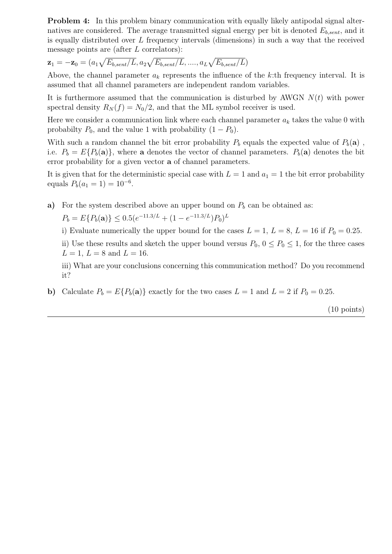Problem 4: In this problem binary communication with equally likely antipodal signal alternatives are considered. The average transmitted signal energy per bit is denoted  $E_{b, sent}$ , and it is equally distributed over *L* frequency intervals (dimensions) in such a way that the received message points are (after *L* correlators):

$$
\mathbf{z}_1 = -\mathbf{z}_0 = (a_1 \sqrt{E_{b,sent}/L}, a_2 \sqrt{E_{b,sent}/L}, \dots, a_L \sqrt{E_{b,sent}/L})
$$

Above, the channel parameter  $a_k$  represents the influence of the k:th frequency interval. It is assumed that all channel parameters are independent random variables.

It is furthermore assumed that the communication is disturbed by AWGN *N*(*t*) with power spectral density  $R_N(f) = N_0/2$ , and that the ML symbol receiver is used.

Here we consider a communication link where each channel parameter  $a_k$  takes the value 0 with probabilty  $P_0$ , and the value 1 with probability  $(1 - P_0)$ .

With such a random channel the bit error probability  $P_b$  equals the expected value of  $P_b(\mathbf{a})$ , i.e.  $P_b = E\{P_b(\mathbf{a})\}$ , where **a** denotes the vector of channel parameters.  $P_b(\mathbf{a})$  denotes the bit error probability for a given vector **a** of channel parameters.

It is given that for the deterministic special case with  $L = 1$  and  $a_1 = 1$  the bit error probability equals  $P_b(a_1 = 1) = 10^{-6}$ .

a) For the system described above an upper bound on  $P_b$  can be obtained as:

 $P_b = E\{P_b(\mathbf{a})\} \leq 0.5(e^{-11.3/L} + (1 - e^{-11.3/L})P_0)^L$ 

i) Evaluate numerically the upper bound for the cases  $L = 1, L = 8, L = 16$  if  $P_0 = 0.25$ .

ii) Use these results and sketch the upper bound versus  $P_0$ ,  $0 \le P_0 \le 1$ , for the three cases  $L = 1, L = 8$  and  $L = 16$ .

iii) What are your conclusions concerning this communication method? Do you recommend it?

**b**) Calculate  $P_b = E\{P_b(\mathbf{a})\}$  exactly for the two cases  $L = 1$  and  $L = 2$  if  $P_0 = 0.25$ .